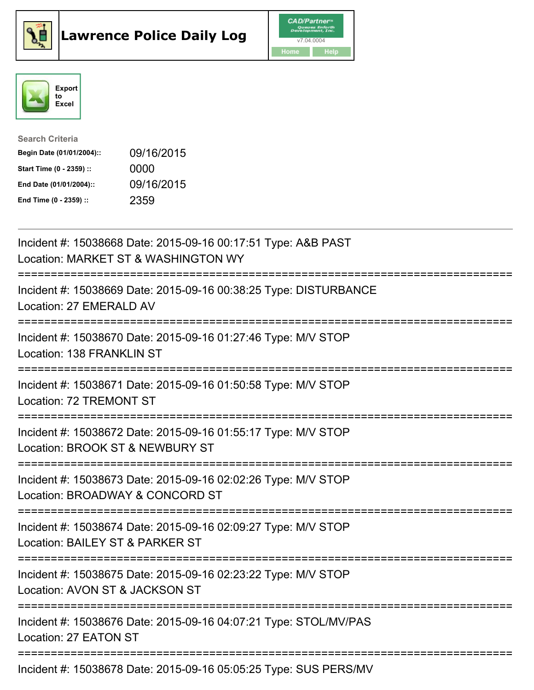





| <b>Search Criteria</b>    |            |
|---------------------------|------------|
| Begin Date (01/01/2004):: | 09/16/2015 |
| Start Time (0 - 2359) ::  | 0000       |
| End Date (01/01/2004)::   | 09/16/2015 |
| End Time (0 - 2359) ::    | 2359       |

| Incident #: 15038668 Date: 2015-09-16 00:17:51 Type: A&B PAST<br>Location: MARKET ST & WASHINGTON WY                            |
|---------------------------------------------------------------------------------------------------------------------------------|
| Incident #: 15038669 Date: 2015-09-16 00:38:25 Type: DISTURBANCE<br>Location: 27 EMERALD AV                                     |
| Incident #: 15038670 Date: 2015-09-16 01:27:46 Type: M/V STOP<br>Location: 138 FRANKLIN ST                                      |
| Incident #: 15038671 Date: 2015-09-16 01:50:58 Type: M/V STOP<br>Location: 72 TREMONT ST<br>:================================== |
| Incident #: 15038672 Date: 2015-09-16 01:55:17 Type: M/V STOP<br>Location: BROOK ST & NEWBURY ST                                |
| Incident #: 15038673 Date: 2015-09-16 02:02:26 Type: M/V STOP<br>Location: BROADWAY & CONCORD ST<br>=========================   |
| Incident #: 15038674 Date: 2015-09-16 02:09:27 Type: M/V STOP<br>Location: BAILEY ST & PARKER ST<br>:========================== |
| Incident #: 15038675 Date: 2015-09-16 02:23:22 Type: M/V STOP<br>Location: AVON ST & JACKSON ST                                 |
| :=========================<br>Incident #: 15038676 Date: 2015-09-16 04:07:21 Type: STOL/MV/PAS<br>Location: 27 EATON ST         |
| Incident #: 15038678 Date: 2015-09-16 05:05:25 Type: SUS PERS/MV                                                                |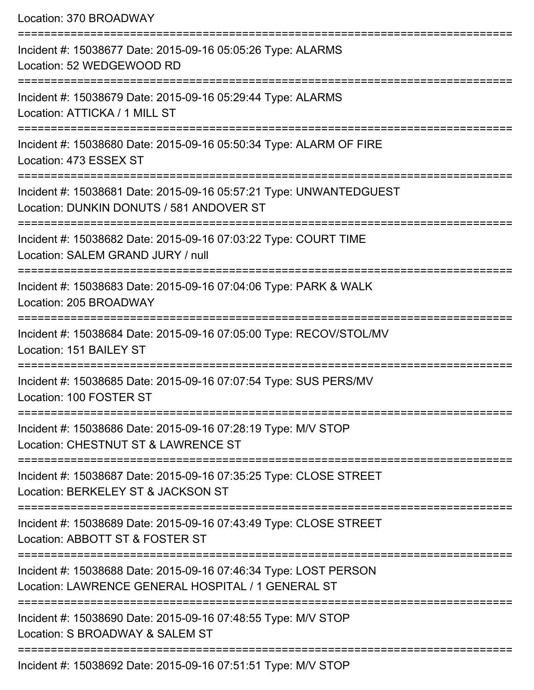|  | Location: 370 BROADWAY |
|--|------------------------|
|--|------------------------|

| Incident #: 15038677 Date: 2015-09-16 05:05:26 Type: ALARMS<br>Location: 52 WEDGEWOOD RD                               |
|------------------------------------------------------------------------------------------------------------------------|
| Incident #: 15038679 Date: 2015-09-16 05:29:44 Type: ALARMS<br>Location: ATTICKA / 1 MILL ST                           |
| Incident #: 15038680 Date: 2015-09-16 05:50:34 Type: ALARM OF FIRE<br>Location: 473 ESSEX ST                           |
| Incident #: 15038681 Date: 2015-09-16 05:57:21 Type: UNWANTEDGUEST<br>Location: DUNKIN DONUTS / 581 ANDOVER ST         |
| Incident #: 15038682 Date: 2015-09-16 07:03:22 Type: COURT TIME<br>Location: SALEM GRAND JURY / null                   |
| Incident #: 15038683 Date: 2015-09-16 07:04:06 Type: PARK & WALK<br>Location: 205 BROADWAY                             |
| Incident #: 15038684 Date: 2015-09-16 07:05:00 Type: RECOV/STOL/MV<br>Location: 151 BAILEY ST                          |
| Incident #: 15038685 Date: 2015-09-16 07:07:54 Type: SUS PERS/MV<br>Location: 100 FOSTER ST                            |
| Incident #: 15038686 Date: 2015-09-16 07:28:19 Type: M/V STOP<br>Location: CHESTNUT ST & LAWRENCE ST                   |
| Incident #: 15038687 Date: 2015-09-16 07:35:25 Type: CLOSE STREET<br>Location: BERKELEY ST & JACKSON ST                |
| Incident #: 15038689 Date: 2015-09-16 07:43:49 Type: CLOSE STREET<br>Location: ABBOTT ST & FOSTER ST                   |
| Incident #: 15038688 Date: 2015-09-16 07:46:34 Type: LOST PERSON<br>Location: LAWRENCE GENERAL HOSPITAL / 1 GENERAL ST |
| Incident #: 15038690 Date: 2015-09-16 07:48:55 Type: M/V STOP<br>Location: S BROADWAY & SALEM ST                       |
| Incident #: 15038692 Date: 2015-09-16 07:51:51 Type: M/V STOP                                                          |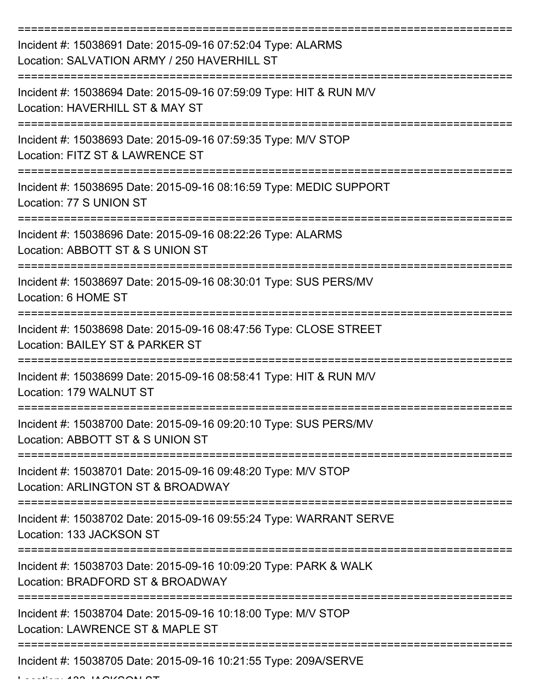| Incident #: 15038691 Date: 2015-09-16 07:52:04 Type: ALARMS<br>Location: SALVATION ARMY / 250 HAVERHILL ST                                |
|-------------------------------------------------------------------------------------------------------------------------------------------|
| Incident #: 15038694 Date: 2015-09-16 07:59:09 Type: HIT & RUN M/V<br>Location: HAVERHILL ST & MAY ST                                     |
| Incident #: 15038693 Date: 2015-09-16 07:59:35 Type: M/V STOP<br>Location: FITZ ST & LAWRENCE ST                                          |
| Incident #: 15038695 Date: 2015-09-16 08:16:59 Type: MEDIC SUPPORT<br>Location: 77 S UNION ST                                             |
| Incident #: 15038696 Date: 2015-09-16 08:22:26 Type: ALARMS<br>Location: ABBOTT ST & S UNION ST                                           |
| Incident #: 15038697 Date: 2015-09-16 08:30:01 Type: SUS PERS/MV<br>Location: 6 HOME ST                                                   |
| =================================<br>Incident #: 15038698 Date: 2015-09-16 08:47:56 Type: CLOSE STREET<br>Location: BAILEY ST & PARKER ST |
| Incident #: 15038699 Date: 2015-09-16 08:58:41 Type: HIT & RUN M/V<br>Location: 179 WALNUT ST                                             |
| Incident #: 15038700 Date: 2015-09-16 09:20:10 Type: SUS PERS/MV<br>Location: ABBOTT ST & S UNION ST                                      |
| Incident #: 15038701 Date: 2015-09-16 09:48:20 Type: M/V STOP<br>Location: ARLINGTON ST & BROADWAY                                        |
| Incident #: 15038702 Date: 2015-09-16 09:55:24 Type: WARRANT SERVE<br>Location: 133 JACKSON ST                                            |
| Incident #: 15038703 Date: 2015-09-16 10:09:20 Type: PARK & WALK<br>Location: BRADFORD ST & BROADWAY                                      |
| Incident #: 15038704 Date: 2015-09-16 10:18:00 Type: M/V STOP<br>Location: LAWRENCE ST & MAPLE ST                                         |
| Incident #: 15038705 Date: 2015-09-16 10:21:55 Type: 209A/SERVE<br>$\overline{11}$                                                        |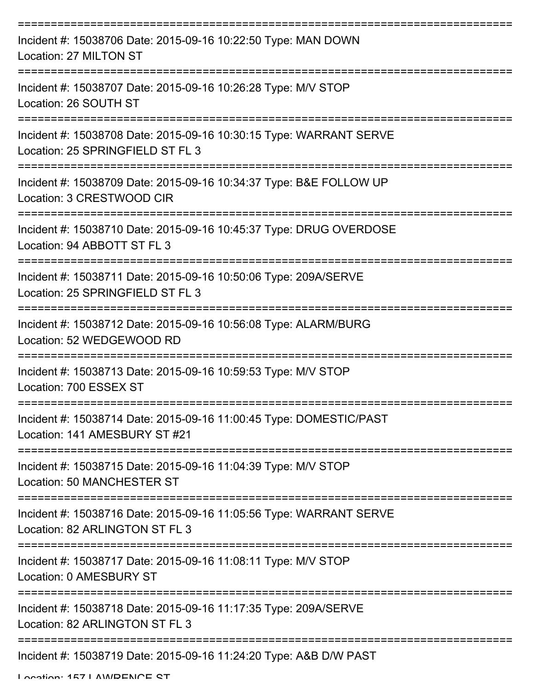| Incident #: 15038706 Date: 2015-09-16 10:22:50 Type: MAN DOWN<br>Location: 27 MILTON ST                |
|--------------------------------------------------------------------------------------------------------|
| Incident #: 15038707 Date: 2015-09-16 10:26:28 Type: M/V STOP<br>Location: 26 SOUTH ST                 |
| Incident #: 15038708 Date: 2015-09-16 10:30:15 Type: WARRANT SERVE<br>Location: 25 SPRINGFIELD ST FL 3 |
| Incident #: 15038709 Date: 2015-09-16 10:34:37 Type: B&E FOLLOW UP<br>Location: 3 CRESTWOOD CIR        |
| Incident #: 15038710 Date: 2015-09-16 10:45:37 Type: DRUG OVERDOSE<br>Location: 94 ABBOTT ST FL 3      |
| Incident #: 15038711 Date: 2015-09-16 10:50:06 Type: 209A/SERVE<br>Location: 25 SPRINGFIELD ST FL 3    |
| Incident #: 15038712 Date: 2015-09-16 10:56:08 Type: ALARM/BURG<br>Location: 52 WEDGEWOOD RD           |
| Incident #: 15038713 Date: 2015-09-16 10:59:53 Type: M/V STOP<br>Location: 700 ESSEX ST                |
| Incident #: 15038714 Date: 2015-09-16 11:00:45 Type: DOMESTIC/PAST<br>Location: 141 AMESBURY ST #21    |
| Incident #: 15038715 Date: 2015-09-16 11:04:39 Type: M/V STOP<br><b>Location: 50 MANCHESTER ST</b>     |
| Incident #: 15038716 Date: 2015-09-16 11:05:56 Type: WARRANT SERVE<br>Location: 82 ARLINGTON ST FL 3   |
| Incident #: 15038717 Date: 2015-09-16 11:08:11 Type: M/V STOP<br>Location: 0 AMESBURY ST               |
| Incident #: 15038718 Date: 2015-09-16 11:17:35 Type: 209A/SERVE<br>Location: 82 ARLINGTON ST FL 3      |
| Incident #: 15038719 Date: 2015-09-16 11:24:20 Type: A&B D/W PAST                                      |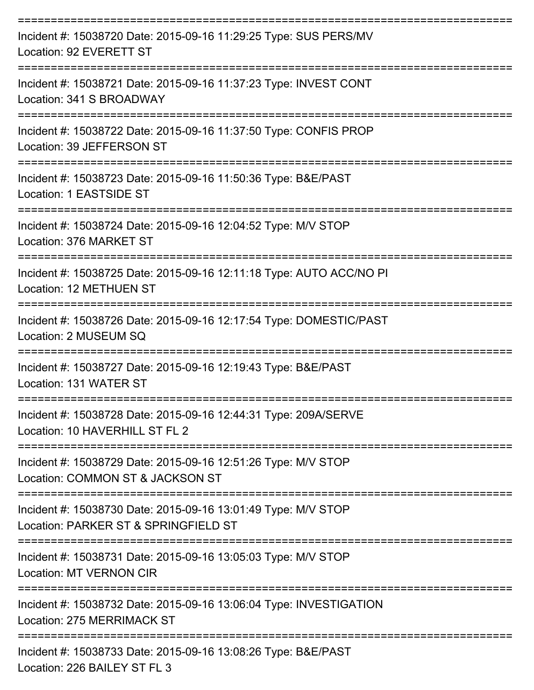| Incident #: 15038720 Date: 2015-09-16 11:29:25 Type: SUS PERS/MV<br>Location: 92 EVERETT ST           |
|-------------------------------------------------------------------------------------------------------|
| Incident #: 15038721 Date: 2015-09-16 11:37:23 Type: INVEST CONT<br>Location: 341 S BROADWAY          |
| Incident #: 15038722 Date: 2015-09-16 11:37:50 Type: CONFIS PROP<br>Location: 39 JEFFERSON ST         |
| Incident #: 15038723 Date: 2015-09-16 11:50:36 Type: B&E/PAST<br>Location: 1 EASTSIDE ST              |
| Incident #: 15038724 Date: 2015-09-16 12:04:52 Type: M/V STOP<br>Location: 376 MARKET ST              |
| Incident #: 15038725 Date: 2015-09-16 12:11:18 Type: AUTO ACC/NO PI<br>Location: 12 METHUEN ST        |
| Incident #: 15038726 Date: 2015-09-16 12:17:54 Type: DOMESTIC/PAST<br>Location: 2 MUSEUM SQ           |
| Incident #: 15038727 Date: 2015-09-16 12:19:43 Type: B&E/PAST<br>Location: 131 WATER ST               |
| Incident #: 15038728 Date: 2015-09-16 12:44:31 Type: 209A/SERVE<br>Location: 10 HAVERHILL ST FL 2     |
| Incident #: 15038729 Date: 2015-09-16 12:51:26 Type: M/V STOP<br>Location: COMMON ST & JACKSON ST     |
| Incident #: 15038730 Date: 2015-09-16 13:01:49 Type: M/V STOP<br>Location: PARKER ST & SPRINGFIELD ST |
| Incident #: 15038731 Date: 2015-09-16 13:05:03 Type: M/V STOP<br><b>Location: MT VERNON CIR</b>       |
| Incident #: 15038732 Date: 2015-09-16 13:06:04 Type: INVESTIGATION<br>Location: 275 MERRIMACK ST      |
| Incident #: 15038733 Date: 2015-09-16 13:08:26 Type: B&E/PAST<br>Location: 226 BAILEY ST FL 3         |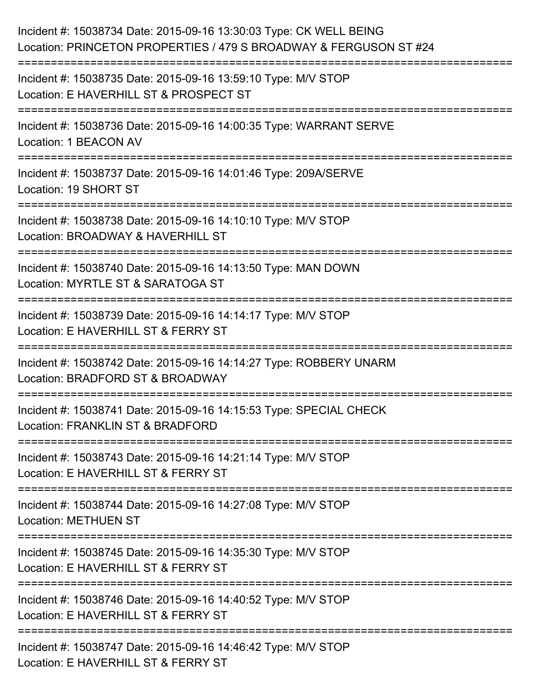| Incident #: 15038734 Date: 2015-09-16 13:30:03 Type: CK WELL BEING<br>Location: PRINCETON PROPERTIES / 479 S BROADWAY & FERGUSON ST #24 |
|-----------------------------------------------------------------------------------------------------------------------------------------|
| Incident #: 15038735 Date: 2015-09-16 13:59:10 Type: M/V STOP<br>Location: E HAVERHILL ST & PROSPECT ST                                 |
| Incident #: 15038736 Date: 2015-09-16 14:00:35 Type: WARRANT SERVE<br>Location: 1 BEACON AV                                             |
| ===============================<br>Incident #: 15038737 Date: 2015-09-16 14:01:46 Type: 209A/SERVE<br>Location: 19 SHORT ST             |
| Incident #: 15038738 Date: 2015-09-16 14:10:10 Type: M/V STOP<br>Location: BROADWAY & HAVERHILL ST                                      |
| Incident #: 15038740 Date: 2015-09-16 14:13:50 Type: MAN DOWN<br>Location: MYRTLE ST & SARATOGA ST                                      |
| :=======================<br>Incident #: 15038739 Date: 2015-09-16 14:14:17 Type: M/V STOP<br>Location: E HAVERHILL ST & FERRY ST        |
| Incident #: 15038742 Date: 2015-09-16 14:14:27 Type: ROBBERY UNARM<br>Location: BRADFORD ST & BROADWAY                                  |
| Incident #: 15038741 Date: 2015-09-16 14:15:53 Type: SPECIAL CHECK<br>Location: FRANKLIN ST & BRADFORD                                  |
| Incident #: 15038743 Date: 2015-09-16 14:21:14 Type: M/V STOP<br>Location: E HAVERHILL ST & FERRY ST                                    |
| Incident #: 15038744 Date: 2015-09-16 14:27:08 Type: M/V STOP<br><b>Location: METHUEN ST</b>                                            |
| Incident #: 15038745 Date: 2015-09-16 14:35:30 Type: M/V STOP<br>Location: E HAVERHILL ST & FERRY ST                                    |
| Incident #: 15038746 Date: 2015-09-16 14:40:52 Type: M/V STOP<br>Location: E HAVERHILL ST & FERRY ST                                    |
| Incident #: 15038747 Date: 2015-09-16 14:46:42 Type: M/V STOP<br>Location: E HAVERHILL ST & FERRY ST                                    |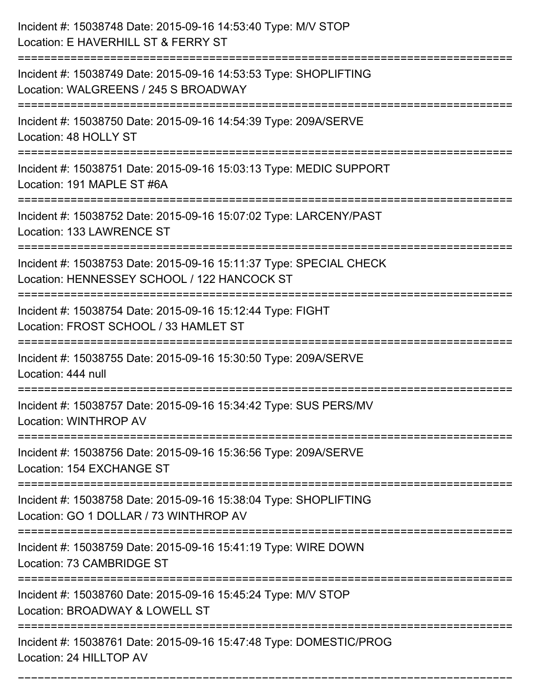| Incident #: 15038748 Date: 2015-09-16 14:53:40 Type: M/V STOP<br>Location: E HAVERHILL ST & FERRY ST              |
|-------------------------------------------------------------------------------------------------------------------|
| Incident #: 15038749 Date: 2015-09-16 14:53:53 Type: SHOPLIFTING<br>Location: WALGREENS / 245 S BROADWAY          |
| Incident #: 15038750 Date: 2015-09-16 14:54:39 Type: 209A/SERVE<br>Location: 48 HOLLY ST                          |
| Incident #: 15038751 Date: 2015-09-16 15:03:13 Type: MEDIC SUPPORT<br>Location: 191 MAPLE ST #6A                  |
| Incident #: 15038752 Date: 2015-09-16 15:07:02 Type: LARCENY/PAST<br>Location: 133 LAWRENCE ST                    |
| Incident #: 15038753 Date: 2015-09-16 15:11:37 Type: SPECIAL CHECK<br>Location: HENNESSEY SCHOOL / 122 HANCOCK ST |
| Incident #: 15038754 Date: 2015-09-16 15:12:44 Type: FIGHT<br>Location: FROST SCHOOL / 33 HAMLET ST               |
| Incident #: 15038755 Date: 2015-09-16 15:30:50 Type: 209A/SERVE<br>Location: 444 null                             |
| Incident #: 15038757 Date: 2015-09-16 15:34:42 Type: SUS PERS/MV<br>Location: WINTHROP AV                         |
| Incident #: 15038756 Date: 2015-09-16 15:36:56 Type: 209A/SERVE<br>Location: 154 EXCHANGE ST                      |
| Incident #: 15038758 Date: 2015-09-16 15:38:04 Type: SHOPLIFTING<br>Location: GO 1 DOLLAR / 73 WINTHROP AV        |
| Incident #: 15038759 Date: 2015-09-16 15:41:19 Type: WIRE DOWN<br>Location: 73 CAMBRIDGE ST                       |
| Incident #: 15038760 Date: 2015-09-16 15:45:24 Type: M/V STOP<br>Location: BROADWAY & LOWELL ST                   |
| Incident #: 15038761 Date: 2015-09-16 15:47:48 Type: DOMESTIC/PROG<br>Location: 24 HILLTOP AV                     |

===========================================================================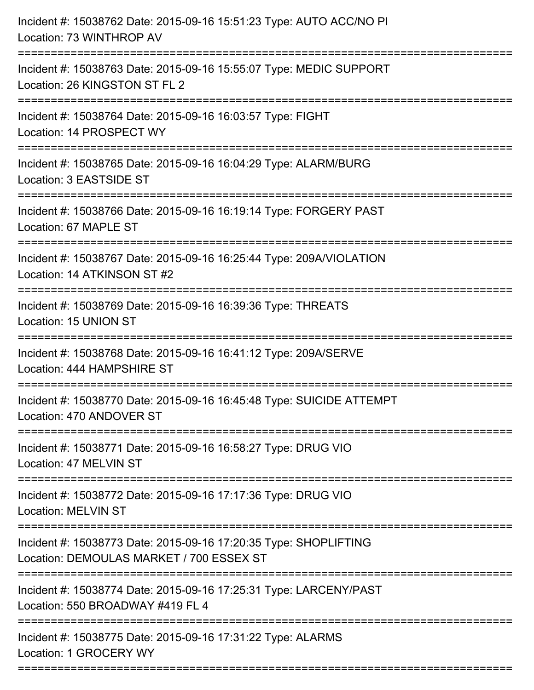| Incident #: 15038762 Date: 2015-09-16 15:51:23 Type: AUTO ACC/NO PI<br>Location: 73 WINTHROP AV                                |
|--------------------------------------------------------------------------------------------------------------------------------|
| Incident #: 15038763 Date: 2015-09-16 15:55:07 Type: MEDIC SUPPORT<br>Location: 26 KINGSTON ST FL 2                            |
| Incident #: 15038764 Date: 2015-09-16 16:03:57 Type: FIGHT<br>Location: 14 PROSPECT WY<br>____________________________________ |
| Incident #: 15038765 Date: 2015-09-16 16:04:29 Type: ALARM/BURG<br>Location: 3 EASTSIDE ST                                     |
| Incident #: 15038766 Date: 2015-09-16 16:19:14 Type: FORGERY PAST<br>Location: 67 MAPLE ST                                     |
| Incident #: 15038767 Date: 2015-09-16 16:25:44 Type: 209A/VIOLATION<br>Location: 14 ATKINSON ST #2                             |
| Incident #: 15038769 Date: 2015-09-16 16:39:36 Type: THREATS<br>Location: 15 UNION ST                                          |
| Incident #: 15038768 Date: 2015-09-16 16:41:12 Type: 209A/SERVE<br>Location: 444 HAMPSHIRE ST                                  |
| Incident #: 15038770 Date: 2015-09-16 16:45:48 Type: SUICIDE ATTEMPT<br>Location: 470 ANDOVER ST                               |
| Incident #: 15038771 Date: 2015-09-16 16:58:27 Type: DRUG VIO<br>Location: 47 MELVIN ST                                        |
| Incident #: 15038772 Date: 2015-09-16 17:17:36 Type: DRUG VIO<br><b>Location: MELVIN ST</b>                                    |
| Incident #: 15038773 Date: 2015-09-16 17:20:35 Type: SHOPLIFTING<br>Location: DEMOULAS MARKET / 700 ESSEX ST                   |
| Incident #: 15038774 Date: 2015-09-16 17:25:31 Type: LARCENY/PAST<br>Location: 550 BROADWAY #419 FL 4                          |
| Incident #: 15038775 Date: 2015-09-16 17:31:22 Type: ALARMS<br>Location: 1 GROCERY WY                                          |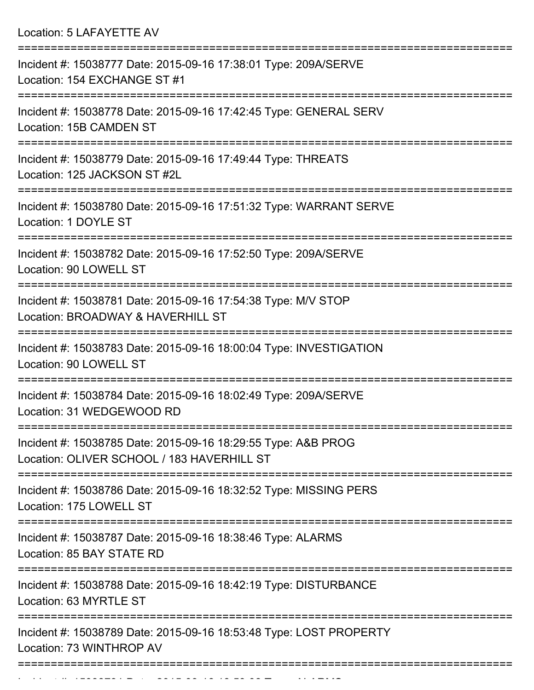Location: 5 LAFAYETTE AV

| Incident #: 15038777 Date: 2015-09-16 17:38:01 Type: 209A/SERVE<br>Location: 154 EXCHANGE ST #1             |
|-------------------------------------------------------------------------------------------------------------|
| Incident #: 15038778 Date: 2015-09-16 17:42:45 Type: GENERAL SERV<br>Location: 15B CAMDEN ST                |
| Incident #: 15038779 Date: 2015-09-16 17:49:44 Type: THREATS<br>Location: 125 JACKSON ST #2L                |
| Incident #: 15038780 Date: 2015-09-16 17:51:32 Type: WARRANT SERVE<br>Location: 1 DOYLE ST                  |
| Incident #: 15038782 Date: 2015-09-16 17:52:50 Type: 209A/SERVE<br>Location: 90 LOWELL ST                   |
| Incident #: 15038781 Date: 2015-09-16 17:54:38 Type: M/V STOP<br>Location: BROADWAY & HAVERHILL ST          |
| Incident #: 15038783 Date: 2015-09-16 18:00:04 Type: INVESTIGATION<br>Location: 90 LOWELL ST                |
| Incident #: 15038784 Date: 2015-09-16 18:02:49 Type: 209A/SERVE<br>Location: 31 WEDGEWOOD RD                |
| Incident #: 15038785 Date: 2015-09-16 18:29:55 Type: A&B PROG<br>Location: OLIVER SCHOOL / 183 HAVERHILL ST |
| Incident #: 15038786 Date: 2015-09-16 18:32:52 Type: MISSING PERS<br>Location: 175 LOWELL ST                |
| Incident #: 15038787 Date: 2015-09-16 18:38:46 Type: ALARMS<br>Location: 85 BAY STATE RD                    |
| Incident #: 15038788 Date: 2015-09-16 18:42:19 Type: DISTURBANCE<br>Location: 63 MYRTLE ST                  |
| Incident #: 15038789 Date: 2015-09-16 18:53:48 Type: LOST PROPERTY<br>Location: 73 WINTHROP AV              |
|                                                                                                             |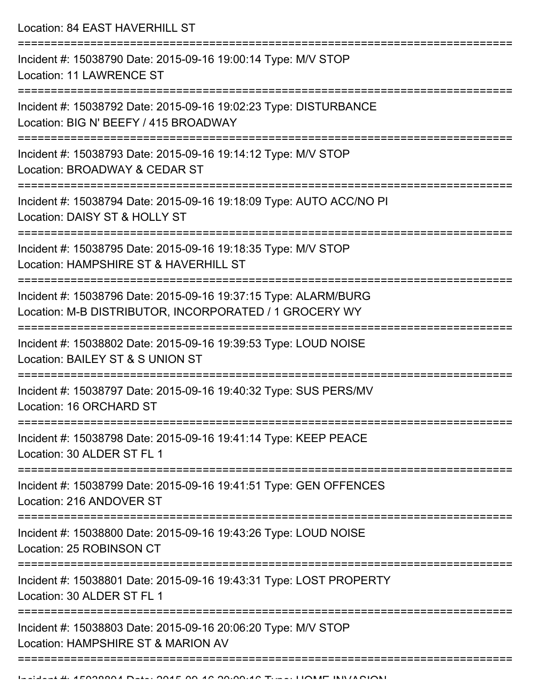Location: 84 EAST HAVERHILL ST =========================================================================== Incident #: 15038790 Date: 2015-09-16 19:00:14 Type: M/V STOP Location: 11 LAWRENCE ST =========================================================================== Incident #: 15038792 Date: 2015-09-16 19:02:23 Type: DISTURBANCE Location: BIG N' BEEFY / 415 BROADWAY =========================================================================== Incident #: 15038793 Date: 2015-09-16 19:14:12 Type: M/V STOP Location: BROADWAY & CEDAR ST =========================================================================== Incident #: 15038794 Date: 2015-09-16 19:18:09 Type: AUTO ACC/NO PI Location: DAISY ST & HOLLY ST =========================================================================== Incident #: 15038795 Date: 2015-09-16 19:18:35 Type: M/V STOP Location: HAMPSHIRE ST & HAVERHILL ST =========================================================================== Incident #: 15038796 Date: 2015-09-16 19:37:15 Type: ALARM/BURG Location: M-B DISTRIBUTOR, INCORPORATED / 1 GROCERY WY =========================================================================== Incident #: 15038802 Date: 2015-09-16 19:39:53 Type: LOUD NOISE Location: BAILEY ST & S UNION ST =========================================================================== Incident #: 15038797 Date: 2015-09-16 19:40:32 Type: SUS PERS/MV Location: 16 ORCHARD ST =========================================================================== Incident #: 15038798 Date: 2015-09-16 19:41:14 Type: KEEP PEACE Location: 30 ALDER ST FL 1 =========================================================================== Incident #: 15038799 Date: 2015-09-16 19:41:51 Type: GEN OFFENCES Location: 216 ANDOVER ST =========================================================================== Incident #: 15038800 Date: 2015-09-16 19:43:26 Type: LOUD NOISE Location: 25 ROBINSON CT =========================================================================== Incident #: 15038801 Date: 2015-09-16 19:43:31 Type: LOST PROPERTY Location: 30 ALDER ST FL 1 =========================================================================== Incident #: 15038803 Date: 2015-09-16 20:06:20 Type: M/V STOP Location: HAMPSHIRE ST & MARION AV =============================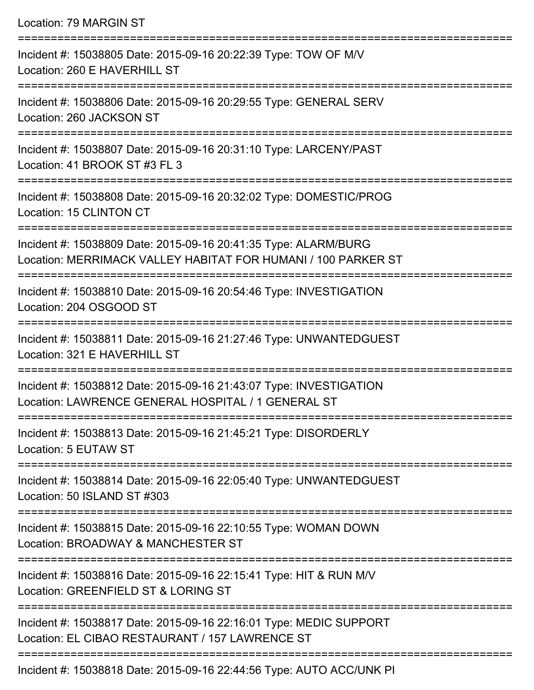Location: 79 MARGIN ST

| Incident #: 15038805 Date: 2015-09-16 20:22:39 Type: TOW OF M/V<br>Location: 260 E HAVERHILL ST                                    |
|------------------------------------------------------------------------------------------------------------------------------------|
| Incident #: 15038806 Date: 2015-09-16 20:29:55 Type: GENERAL SERV<br>Location: 260 JACKSON ST                                      |
| Incident #: 15038807 Date: 2015-09-16 20:31:10 Type: LARCENY/PAST<br>Location: 41 BROOK ST #3 FL 3                                 |
| Incident #: 15038808 Date: 2015-09-16 20:32:02 Type: DOMESTIC/PROG<br>Location: 15 CLINTON CT                                      |
| Incident #: 15038809 Date: 2015-09-16 20:41:35 Type: ALARM/BURG<br>Location: MERRIMACK VALLEY HABITAT FOR HUMANI / 100 PARKER ST   |
| Incident #: 15038810 Date: 2015-09-16 20:54:46 Type: INVESTIGATION<br>Location: 204 OSGOOD ST                                      |
| Incident #: 15038811 Date: 2015-09-16 21:27:46 Type: UNWANTEDGUEST<br>Location: 321 E HAVERHILL ST                                 |
| Incident #: 15038812 Date: 2015-09-16 21:43:07 Type: INVESTIGATION<br>Location: LAWRENCE GENERAL HOSPITAL / 1 GENERAL ST           |
| Incident #: 15038813 Date: 2015-09-16 21:45:21 Type: DISORDERLY<br>Location: 5 EUTAW ST                                            |
| Incident #: 15038814 Date: 2015-09-16 22:05:40 Type: UNWANTEDGUEST<br>Location: 50 ISLAND ST #303                                  |
| Incident #: 15038815 Date: 2015-09-16 22:10:55 Type: WOMAN DOWN<br>Location: BROADWAY & MANCHESTER ST                              |
| =====================<br>Incident #: 15038816 Date: 2015-09-16 22:15:41 Type: HIT & RUN M/V<br>Location: GREENFIELD ST & LORING ST |
| Incident #: 15038817 Date: 2015-09-16 22:16:01 Type: MEDIC SUPPORT<br>Location: EL CIBAO RESTAURANT / 157 LAWRENCE ST              |
|                                                                                                                                    |

Incident #: 15038818 Date: 2015-09-16 22:44:56 Type: AUTO ACC/UNK PI